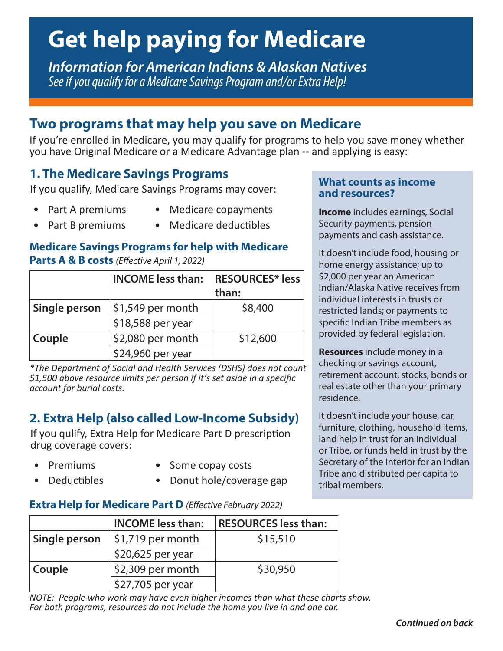# **Get help paying for Medicare**

*Information for American Indians & Alaskan Natives See if you qualify for a Medicare Savings Program and/or Extra Help!*

## **Two programs that may help you save on Medicare**

If you're enrolled in Medicare, you may qualify for programs to help you save money whether you have Original Medicare or a Medicare Advantage plan -- and applying is easy:

#### **1. The Medicare Savings Programs**

If you qualify, Medicare Savings Programs may cover:

- 
- Part A premiums Medicare copayments
- 
- Part B premiums Medicare deductibles

#### **Medicare Savings Programs for help with Medicare Parts A & B costs** *(Effective April 1, 2022)*

|               | <b>INCOME</b> less than: | <b>RESOURCES*</b> less<br>than: |
|---------------|--------------------------|---------------------------------|
| Single person | \$1,549 per month        | \$8,400                         |
|               | \$18,588 per year        |                                 |
| Couple        | \$2,080 per month        | \$12,600                        |
|               | \$24,960 per year        |                                 |

*\*The Department of Social and Health Services (DSHS) does not count \$1,500 above resource limits per person if it's set aside in a specific account for burial costs.*

## **2. Extra Help (also called Low-Income Subsidy)**

If you qulify, Extra Help for Medicare Part D prescription drug coverage covers:

- -
	- Premiums Some copay costs
- 
- 
- Deductibles Donut hole/coverage gap

#### **Extra Help for Medicare Part D** *(Effective February 2022)*

|               | <b>INCOME</b> less than: | <b>RESOURCES</b> less than: |
|---------------|--------------------------|-----------------------------|
| Single person | $\mid$ \$1,719 per month | \$15,510                    |
|               | \$20,625 per year        |                             |
| <b>Couple</b> | \$2,309 per month        | \$30,950                    |
|               | \$27,705 per year        |                             |

*NOTE: People who work may have even higher incomes than what these charts show. For both programs, resources do not include the home you live in and one car.*

#### **What counts as income and resources?**

**Income** includes earnings, Social Security payments, pension payments and cash assistance.

It doesn't include food, housing or home energy assistance; up to \$2,000 per year an American Indian/Alaska Native receives from individual interests in trusts or restricted lands; or payments to specific Indian Tribe members as provided by federal legislation.

**Resources** include money in a checking or savings account, retirement account, stocks, bonds or real estate other than your primary residence.

It doesn't include your house, car, furniture, clothing, household items, land help in trust for an individual or Tribe, or funds held in trust by the Secretary of the Interior for an Indian Tribe and distributed per capita to tribal members.